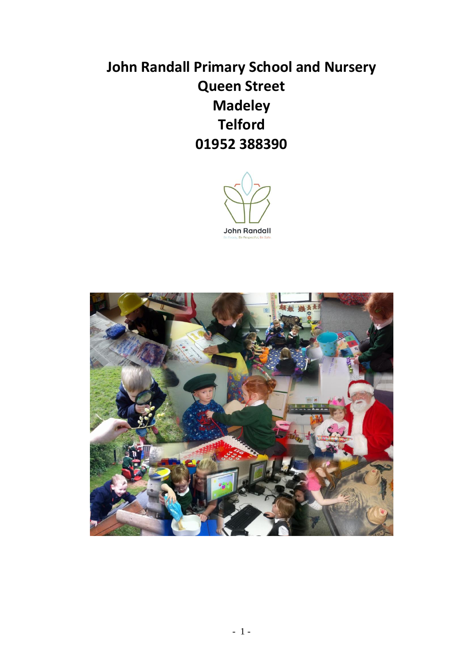# **John Randall Primary School and Nursery Queen Street Madeley Telford 01952 388390**



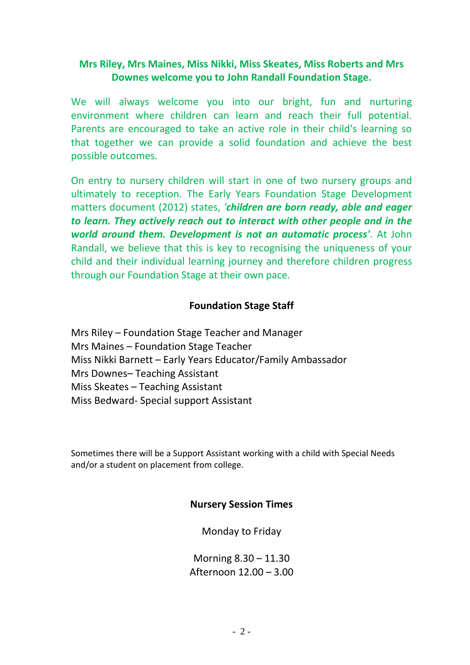## **Mrs Riley, Mrs Maines, Miss Nikki, Miss Skeates, Miss Roberts and Mrs Downes welcome you to John Randall Foundation Stage.**

We will always welcome you into our bright, fun and nurturing environment where children can learn and reach their full potential. Parents are encouraged to take an active role in their child's learning so that together we can provide a solid foundation and achieve the best possible outcomes.

On entry to nursery children will start in one of two nursery groups and ultimately to reception. The Early Years Foundation Stage Development matters document (2012) states, *'children are born ready, able and eager to learn. They actively reach out to interact with other people and in the world around them. Development is not an automatic process'*. At John Randall, we believe that this is key to recognising the uniqueness of your child and their individual learning journey and therefore children progress through our Foundation Stage at their own pace.

#### **Foundation Stage Staff**

Mrs Riley – Foundation Stage Teacher and Manager Mrs Maines – Foundation Stage Teacher Miss Nikki Barnett – Early Years Educator/Family Ambassador Mrs Downes– Teaching Assistant Miss Skeates – Teaching Assistant Miss Bedward- Special support Assistant

Sometimes there will be a Support Assistant working with a child with Special Needs and/or a student on placement from college.

#### **Nursery Session Times**

Monday to Friday

Morning 8.30 – 11.30 Afternoon 12.00 – 3.00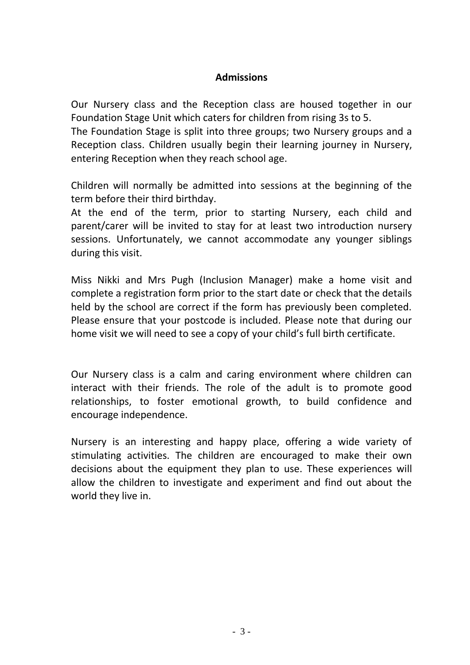#### **Admissions**

Our Nursery class and the Reception class are housed together in our Foundation Stage Unit which caters for children from rising 3s to 5.

The Foundation Stage is split into three groups; two Nursery groups and a Reception class. Children usually begin their learning journey in Nursery, entering Reception when they reach school age.

Children will normally be admitted into sessions at the beginning of the term before their third birthday.

At the end of the term, prior to starting Nursery, each child and parent/carer will be invited to stay for at least two introduction nursery sessions. Unfortunately, we cannot accommodate any younger siblings during this visit.

Miss Nikki and Mrs Pugh (Inclusion Manager) make a home visit and complete a registration form prior to the start date or check that the details held by the school are correct if the form has previously been completed. Please ensure that your postcode is included. Please note that during our home visit we will need to see a copy of your child's full birth certificate.

Our Nursery class is a calm and caring environment where children can interact with their friends. The role of the adult is to promote good relationships, to foster emotional growth, to build confidence and encourage independence.

Nursery is an interesting and happy place, offering a wide variety of stimulating activities. The children are encouraged to make their own decisions about the equipment they plan to use. These experiences will allow the children to investigate and experiment and find out about the world they live in.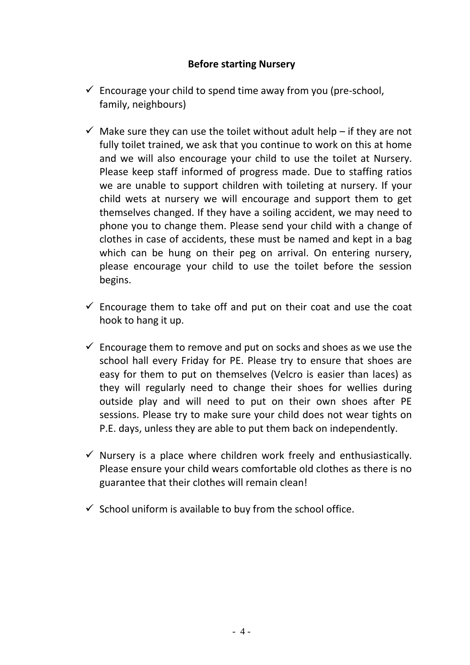## **Before starting Nursery**

- $\checkmark$  Encourage your child to spend time away from you (pre-school, family, neighbours)
- $\checkmark$  Make sure they can use the toilet without adult help if they are not fully toilet trained, we ask that you continue to work on this at home and we will also encourage your child to use the toilet at Nursery. Please keep staff informed of progress made. Due to staffing ratios we are unable to support children with toileting at nursery. If your child wets at nursery we will encourage and support them to get themselves changed. If they have a soiling accident, we may need to phone you to change them. Please send your child with a change of clothes in case of accidents, these must be named and kept in a bag which can be hung on their peg on arrival. On entering nursery, please encourage your child to use the toilet before the session begins.
- $\checkmark$  Encourage them to take off and put on their coat and use the coat hook to hang it up.
- $\checkmark$  Encourage them to remove and put on socks and shoes as we use the school hall every Friday for PE. Please try to ensure that shoes are easy for them to put on themselves (Velcro is easier than laces) as they will regularly need to change their shoes for wellies during outside play and will need to put on their own shoes after PE sessions. Please try to make sure your child does not wear tights on P.E. days, unless they are able to put them back on independently.
- $\checkmark$  Nursery is a place where children work freely and enthusiastically. Please ensure your child wears comfortable old clothes as there is no guarantee that their clothes will remain clean!
- $\checkmark$  School uniform is available to buy from the school office.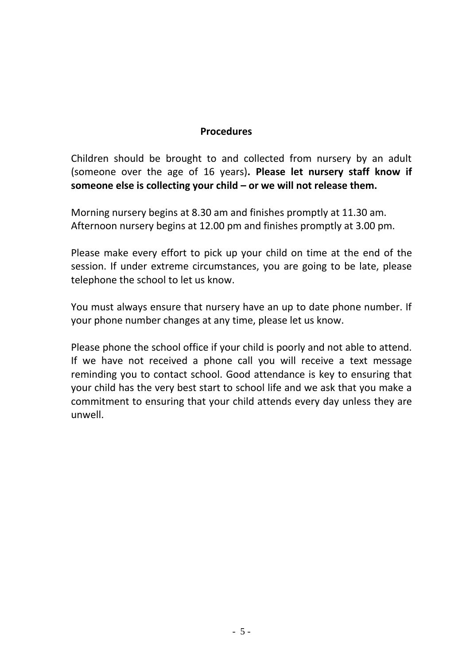#### **Procedures**

Children should be brought to and collected from nursery by an adult (someone over the age of 16 years)**. Please let nursery staff know if someone else is collecting your child – or we will not release them.**

Morning nursery begins at 8.30 am and finishes promptly at 11.30 am. Afternoon nursery begins at 12.00 pm and finishes promptly at 3.00 pm.

Please make every effort to pick up your child on time at the end of the session. If under extreme circumstances, you are going to be late, please telephone the school to let us know.

You must always ensure that nursery have an up to date phone number. If your phone number changes at any time, please let us know.

Please phone the school office if your child is poorly and not able to attend. If we have not received a phone call you will receive a text message reminding you to contact school. Good attendance is key to ensuring that your child has the very best start to school life and we ask that you make a commitment to ensuring that your child attends every day unless they are unwell.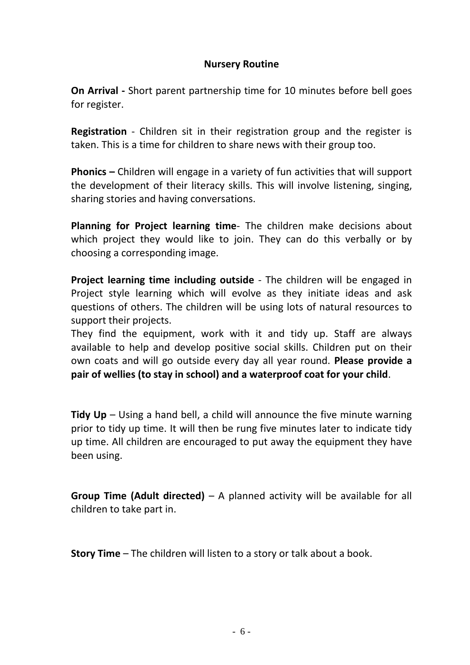#### **Nursery Routine**

**On Arrival -** Short parent partnership time for 10 minutes before bell goes for register.

**Registration** - Children sit in their registration group and the register is taken. This is a time for children to share news with their group too.

**Phonics –** Children will engage in a variety of fun activities that will support the development of their literacy skills. This will involve listening, singing, sharing stories and having conversations.

**Planning for Project learning time**- The children make decisions about which project they would like to join. They can do this verbally or by choosing a corresponding image.

**Project learning time including outside** - The children will be engaged in Project style learning which will evolve as they initiate ideas and ask questions of others. The children will be using lots of natural resources to support their projects.

They find the equipment, work with it and tidy up. Staff are always available to help and develop positive social skills. Children put on their own coats and will go outside every day all year round. **Please provide a pair of wellies (to stay in school) and a waterproof coat for your child**.

**Tidy Up** – Using a hand bell, a child will announce the five minute warning prior to tidy up time. It will then be rung five minutes later to indicate tidy up time. All children are encouraged to put away the equipment they have been using.

**Group Time (Adult directed)** – A planned activity will be available for all children to take part in.

**Story Time** – The children will listen to a story or talk about a book.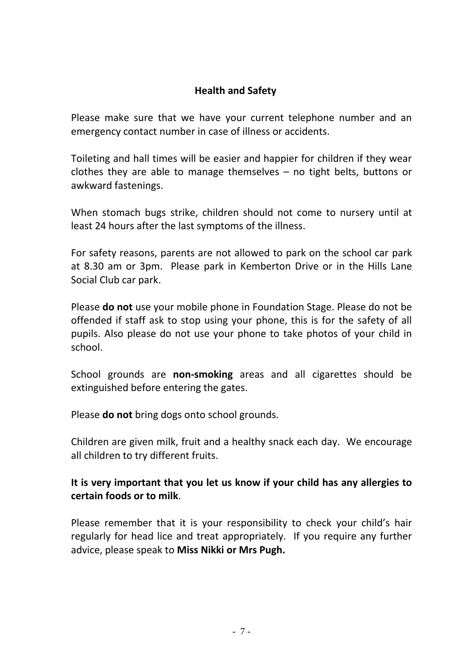# **Health and Safety**

Please make sure that we have your current telephone number and an emergency contact number in case of illness or accidents.

Toileting and hall times will be easier and happier for children if they wear clothes they are able to manage themselves – no tight belts, buttons or awkward fastenings.

When stomach bugs strike, children should not come to nursery until at least 24 hours after the last symptoms of the illness.

For safety reasons, parents are not allowed to park on the school car park at 8.30 am or 3pm. Please park in Kemberton Drive or in the Hills Lane Social Club car park.

Please **do not** use your mobile phone in Foundation Stage. Please do not be offended if staff ask to stop using your phone, this is for the safety of all pupils. Also please do not use your phone to take photos of your child in school.

School grounds are **non-smoking** areas and all cigarettes should be extinguished before entering the gates.

Please **do not** bring dogs onto school grounds.

Children are given milk, fruit and a healthy snack each day. We encourage all children to try different fruits.

# **It is very important that you let us know if your child has any allergies to certain foods or to milk**.

Please remember that it is your responsibility to check your child's hair regularly for head lice and treat appropriately. If you require any further advice, please speak to **Miss Nikki or Mrs Pugh.**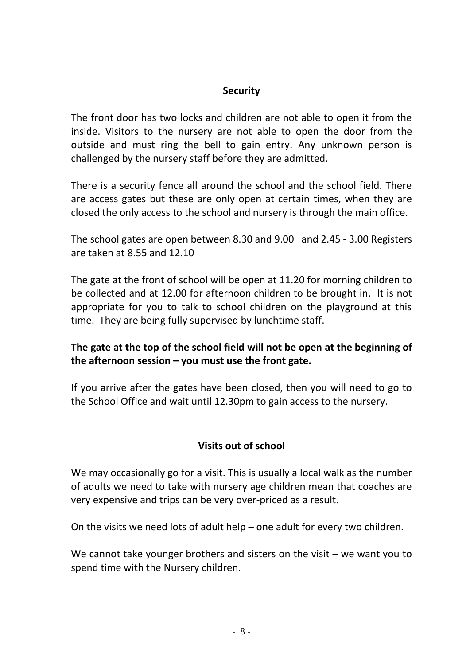## **Security**

The front door has two locks and children are not able to open it from the inside. Visitors to the nursery are not able to open the door from the outside and must ring the bell to gain entry. Any unknown person is challenged by the nursery staff before they are admitted.

There is a security fence all around the school and the school field. There are access gates but these are only open at certain times, when they are closed the only access to the school and nursery is through the main office.

The school gates are open between 8.30 and 9.00 and 2.45 - 3.00 Registers are taken at 8.55 and 12.10

The gate at the front of school will be open at 11.20 for morning children to be collected and at 12.00 for afternoon children to be brought in. It is not appropriate for you to talk to school children on the playground at this time. They are being fully supervised by lunchtime staff.

# **The gate at the top of the school field will not be open at the beginning of the afternoon session – you must use the front gate.**

If you arrive after the gates have been closed, then you will need to go to the School Office and wait until 12.30pm to gain access to the nursery.

# **Visits out of school**

We may occasionally go for a visit. This is usually a local walk as the number of adults we need to take with nursery age children mean that coaches are very expensive and trips can be very over-priced as a result.

On the visits we need lots of adult help – one adult for every two children.

We cannot take younger brothers and sisters on the visit – we want you to spend time with the Nursery children.